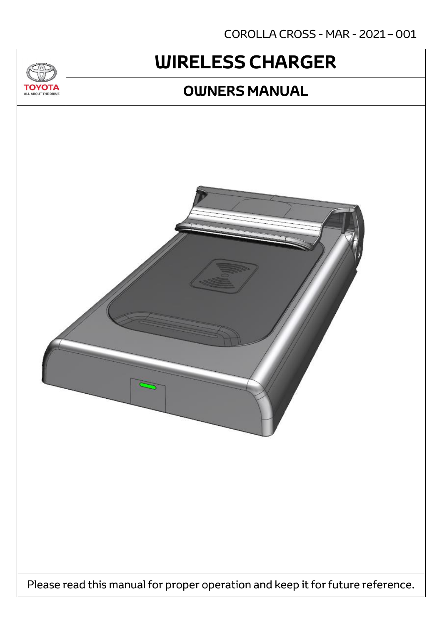COROLLA CROSS - MAR - 2021 – 001

# **WIRELESS CHARGER OWNERS MANUAL**

Please read this manual for proper operation and keep it for future reference.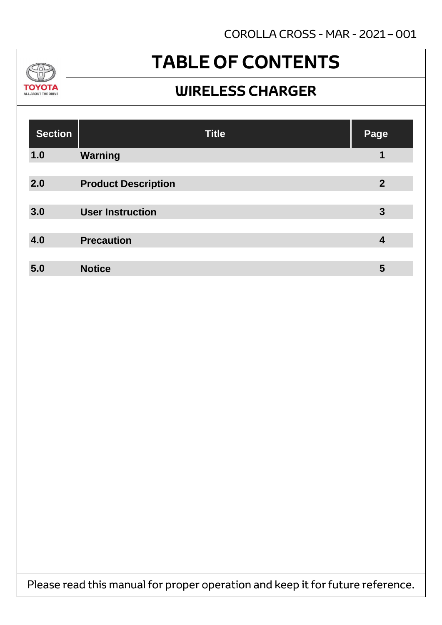

# **TABLE OF CONTENTS**

### **WIRELESS CHARGER**

| <b>Section</b> | <b>Title</b>               | <b>Page</b>    |
|----------------|----------------------------|----------------|
| 1.0            | <b>Warning</b>             | 1              |
| 2.0            | <b>Product Description</b> | $\overline{2}$ |
| 3.0            | <b>User Instruction</b>    | 3              |
| 4.0            | <b>Precaution</b>          | 4              |
| 5.0            | <b>Notice</b>              | 5              |

Please read this manual for proper operation and keep it for future reference.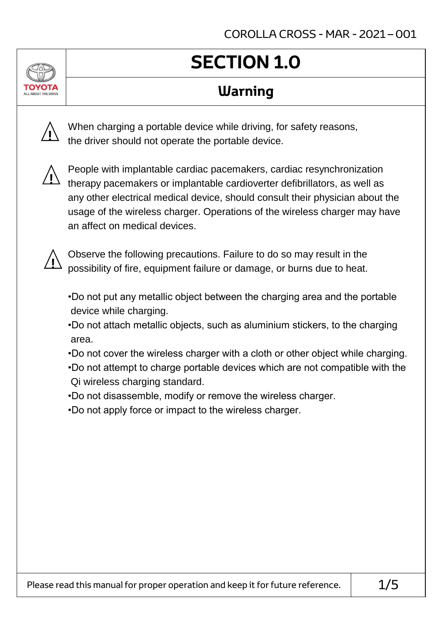# **SECTION 1.0**

## **Warning**



When charging a portable device while driving, for safety reasons, the driver should not operate the portable device.



People with implantable cardiac pacemakers, cardiac resynchronization therapy pacemakers or implantable cardioverter defibrillators, as well as any other electrical medical device, should consult their physician about the usage of the wireless charger. Operations of the wireless charger may have an affect on medical devices.



Observe the following precautions. Failure to do so may result in the possibility of fire, equipment failure or damage, or burns due to heat.

- •Do not put any metallic object between the charging area and the portable device while charging.
- •Do not attach metallic objects, such as aluminium stickers, to the charging area.
- •Do not cover the wireless charger with a cloth or other object while charging.
- •Do not attempt to charge portable devices which are not compatible with the Qi wireless charging standard.
- •Do not disassemble, modify or remove the wireless charger.
- •Do not apply force or impact to the wireless charger.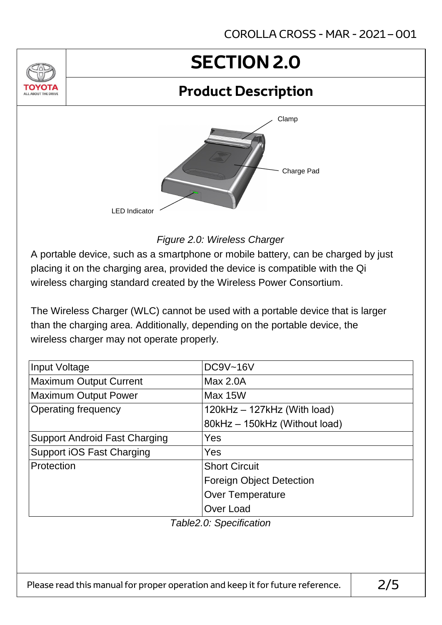# **SECTION 2.0**

### **Product Description**



*Figure 2.0: Wireless Charger*

A portable device, such as a smartphone or mobile battery, can be charged by just placing it on the charging area, provided the device is compatible with the Qi wireless charging standard created by the Wireless Power Consortium.

The Wireless Charger (WLC) cannot be used with a portable device that is larger than the charging area. Additionally, depending on the portable device, the wireless charger may not operate properly.

| Input Voltage                        | <b>DC9V~16V</b>                 |  |  |
|--------------------------------------|---------------------------------|--|--|
| <b>Maximum Output Current</b>        | Max 2.0A                        |  |  |
| <b>Maximum Output Power</b>          | Max 15W                         |  |  |
| <b>Operating frequency</b>           | $120kHz - 127kHz$ (With load)   |  |  |
|                                      | 80kHz - 150kHz (Without load)   |  |  |
| <b>Support Android Fast Charging</b> | Yes                             |  |  |
| <b>Support iOS Fast Charging</b>     | Yes                             |  |  |
| Protection                           | <b>Short Circuit</b>            |  |  |
|                                      | <b>Foreign Object Detection</b> |  |  |
|                                      | <b>Over Temperature</b>         |  |  |
|                                      | Over Load                       |  |  |
| Table2.0: Specification              |                                 |  |  |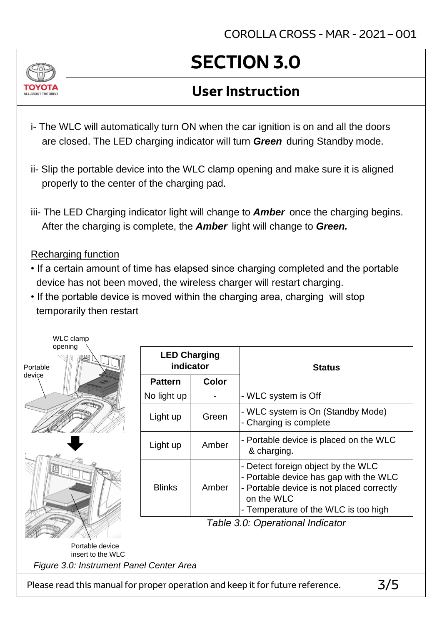

# **SECTION 3.0**

### **User Instruction**

- i- The WLC will automatically turn ON when the car ignition is on and all the doors are closed. The LED charging indicator will turn *Green* during Standby mode.
- ii- Slip the portable device into the WLC clamp opening and make sure it is aligned properly to the center of the charging pad.
- iii- The LED Charging indicator light will change to *Amber* once the charging begins. After the charging is complete, the *Amber* light will change to *Green.*

### Recharging function

- If a certain amount of time has elapsed since charging completed and the portable device has not been moved, the wireless charger will restart charging.
- If the portable device is moved within the charging area, charging will stop temporarily then restart



| <b>LED Charging</b><br>indicator |       | <b>Status</b>                                                                                                                                                                   |
|----------------------------------|-------|---------------------------------------------------------------------------------------------------------------------------------------------------------------------------------|
| <b>Pattern</b>                   | Color |                                                                                                                                                                                 |
| No light up                      |       | - WLC system is Off                                                                                                                                                             |
| Light up                         | Green | - WLC system is On (Standby Mode)<br>- Charging is complete                                                                                                                     |
| Light up                         | Amber | - Portable device is placed on the WLC<br>& charging.                                                                                                                           |
| <b>Blinks</b>                    | Amber | - Detect foreign object by the WLC<br>- Portable device has gap with the WLC<br>- Portable device is not placed correctly<br>on the WLC<br>- Temperature of the WLC is too high |

*Table 3.0: Operational Indicator*

Portable device insert to the WLC

*Figure 3.0: Instrument Panel Center Area*

Please read this manual for proper operation and keep it for future reference.  $\vert$  3/5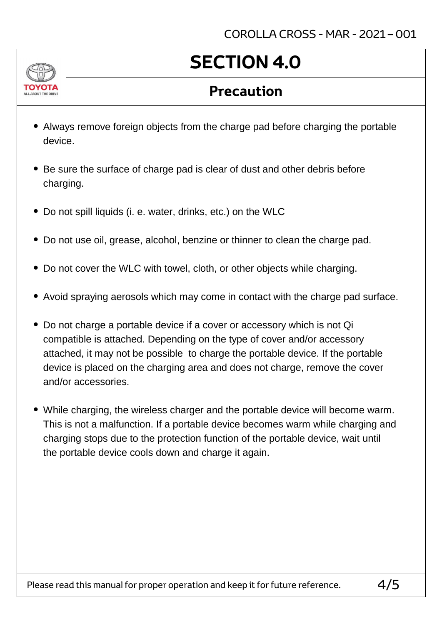

# **SECTION 4.0**

### **Precaution**

- Always remove foreign objects from the charge pad before charging the portable device.
- Be sure the surface of charge pad is clear of dust and other debris before charging.
- Do not spill liquids (i. e. water, drinks, etc.) on the WLC
- Do not use oil, grease, alcohol, benzine or thinner to clean the charge pad.
- Do not cover the WLC with towel, cloth, or other objects while charging.
- Avoid spraying aerosols which may come in contact with the charge pad surface.
- Do not charge a portable device if a cover or accessory which is not Qi compatible is attached. Depending on the type of cover and/or accessory attached, it may not be possible to charge the portable device. If the portable device is placed on the charging area and does not charge, remove the cover and/or accessories.
- While charging, the wireless charger and the portable device will become warm. This is not a malfunction. If a portable device becomes warm while charging and charging stops due to the protection function of the portable device, wait until the portable device cools down and charge it again.